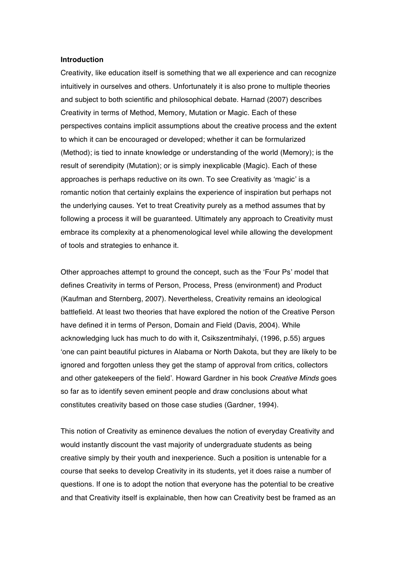#### **Introduction**

Creativity, like education itself is something that we all experience and can recognize intuitively in ourselves and others. Unfortunately it is also prone to multiple theories and subject to both scientific and philosophical debate. Harnad (2007) describes Creativity in terms of Method, Memory, Mutation or Magic. Each of these perspectives contains implicit assumptions about the creative process and the extent to which it can be encouraged or developed; whether it can be formularized (Method); is tied to innate knowledge or understanding of the world (Memory); is the result of serendipity (Mutation); or is simply inexplicable (Magic). Each of these approaches is perhaps reductive on its own. To see Creativity as 'magic' is a romantic notion that certainly explains the experience of inspiration but perhaps not the underlying causes. Yet to treat Creativity purely as a method assumes that by following a process it will be guaranteed. Ultimately any approach to Creativity must embrace its complexity at a phenomenological level while allowing the development of tools and strategies to enhance it.

Other approaches attempt to ground the concept, such as the 'Four Ps' model that defines Creativity in terms of Person, Process, Press (environment) and Product (Kaufman and Sternberg, 2007). Nevertheless, Creativity remains an ideological battlefield. At least two theories that have explored the notion of the Creative Person have defined it in terms of Person, Domain and Field (Davis, 2004). While acknowledging luck has much to do with it, Csikszentmihalyi, (1996, p.55) argues 'one can paint beautiful pictures in Alabama or North Dakota, but they are likely to be ignored and forgotten unless they get the stamp of approval from critics, collectors and other gatekeepers of the field'. Howard Gardner in his book *Creative Minds* goes so far as to identify seven eminent people and draw conclusions about what constitutes creativity based on those case studies (Gardner, 1994).

This notion of Creativity as eminence devalues the notion of everyday Creativity and would instantly discount the vast majority of undergraduate students as being creative simply by their youth and inexperience. Such a position is untenable for a course that seeks to develop Creativity in its students, yet it does raise a number of questions. If one is to adopt the notion that everyone has the potential to be creative and that Creativity itself is explainable, then how can Creativity best be framed as an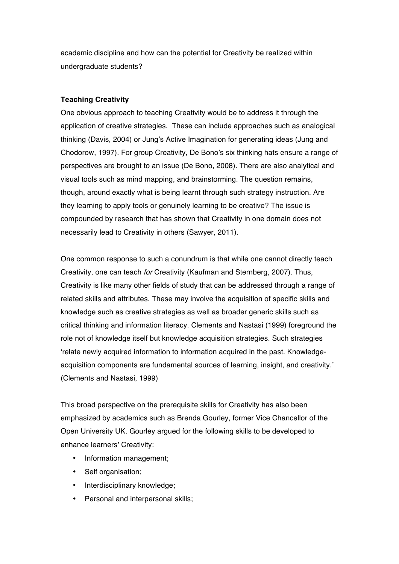academic discipline and how can the potential for Creativity be realized within undergraduate students?

# **Teaching Creativity**

One obvious approach to teaching Creativity would be to address it through the application of creative strategies. These can include approaches such as analogical thinking (Davis, 2004) or Jung's Active Imagination for generating ideas (Jung and Chodorow, 1997). For group Creativity, De Bono's six thinking hats ensure a range of perspectives are brought to an issue (De Bono, 2008). There are also analytical and visual tools such as mind mapping, and brainstorming. The question remains, though, around exactly what is being learnt through such strategy instruction. Are they learning to apply tools or genuinely learning to be creative? The issue is compounded by research that has shown that Creativity in one domain does not necessarily lead to Creativity in others (Sawyer, 2011).

One common response to such a conundrum is that while one cannot directly teach Creativity, one can teach *for* Creativity (Kaufman and Sternberg, 2007). Thus, Creativity is like many other fields of study that can be addressed through a range of related skills and attributes. These may involve the acquisition of specific skills and knowledge such as creative strategies as well as broader generic skills such as critical thinking and information literacy. Clements and Nastasi (1999) foreground the role not of knowledge itself but knowledge acquisition strategies. Such strategies 'relate newly acquired information to information acquired in the past. Knowledgeacquisition components are fundamental sources of learning, insight, and creativity.' (Clements and Nastasi, 1999)

This broad perspective on the prerequisite skills for Creativity has also been emphasized by academics such as Brenda Gourley, former Vice Chancellor of the Open University UK. Gourley argued for the following skills to be developed to enhance learners' Creativity:

- Information management;
- Self organisation;
- Interdisciplinary knowledge;
- Personal and interpersonal skills;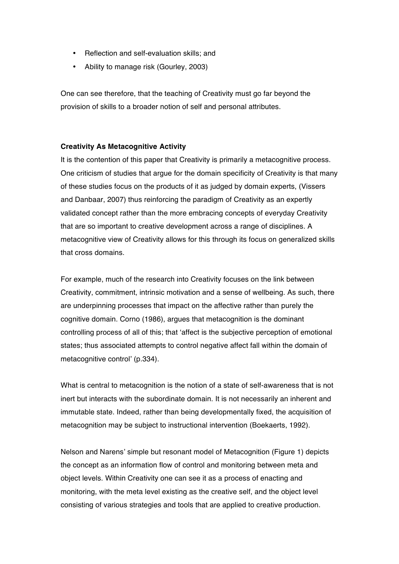- Reflection and self-evaluation skills; and
- Ability to manage risk (Gourley, 2003)

One can see therefore, that the teaching of Creativity must go far beyond the provision of skills to a broader notion of self and personal attributes.

## **Creativity As Metacognitive Activity**

It is the contention of this paper that Creativity is primarily a metacognitive process. One criticism of studies that argue for the domain specificity of Creativity is that many of these studies focus on the products of it as judged by domain experts, (Vissers and Danbaar, 2007) thus reinforcing the paradigm of Creativity as an expertly validated concept rather than the more embracing concepts of everyday Creativity that are so important to creative development across a range of disciplines. A metacognitive view of Creativity allows for this through its focus on generalized skills that cross domains.

For example, much of the research into Creativity focuses on the link between Creativity, commitment, intrinsic motivation and a sense of wellbeing. As such, there are underpinning processes that impact on the affective rather than purely the cognitive domain. Corno (1986), argues that metacognition is the dominant controlling process of all of this; that 'affect is the subjective perception of emotional states; thus associated attempts to control negative affect fall within the domain of metacognitive control' (p.334).

What is central to metacognition is the notion of a state of self-awareness that is not inert but interacts with the subordinate domain. It is not necessarily an inherent and immutable state. Indeed, rather than being developmentally fixed, the acquisition of metacognition may be subject to instructional intervention (Boekaerts, 1992).

Nelson and Narens' simple but resonant model of Metacognition (Figure 1) depicts the concept as an information flow of control and monitoring between meta and object levels. Within Creativity one can see it as a process of enacting and monitoring, with the meta level existing as the creative self, and the object level consisting of various strategies and tools that are applied to creative production.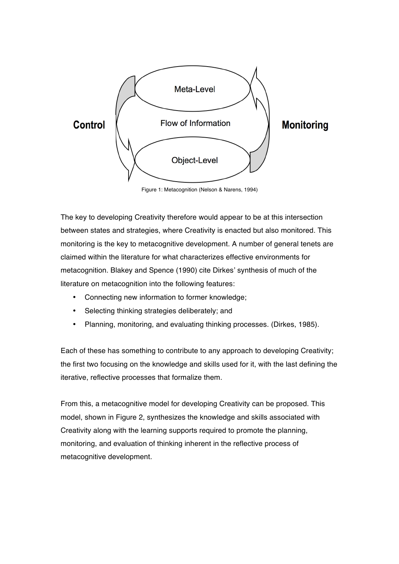

Figure 1: Metacognition (Nelson & Narens, 1994)

The key to developing Creativity therefore would appear to be at this intersection between states and strategies, where Creativity is enacted but also monitored. This monitoring is the key to metacognitive development. A number of general tenets are claimed within the literature for what characterizes effective environments for metacognition. Blakey and Spence (1990) cite Dirkes' synthesis of much of the literature on metacognition into the following features:

- Connecting new information to former knowledge;
- Selecting thinking strategies deliberately; and
- Planning, monitoring, and evaluating thinking processes. (Dirkes, 1985).

Each of these has something to contribute to any approach to developing Creativity; the first two focusing on the knowledge and skills used for it, with the last defining the iterative, reflective processes that formalize them.

From this, a metacognitive model for developing Creativity can be proposed. This model, shown in Figure 2, synthesizes the knowledge and skills associated with Creativity along with the learning supports required to promote the planning, monitoring, and evaluation of thinking inherent in the reflective process of metacognitive development.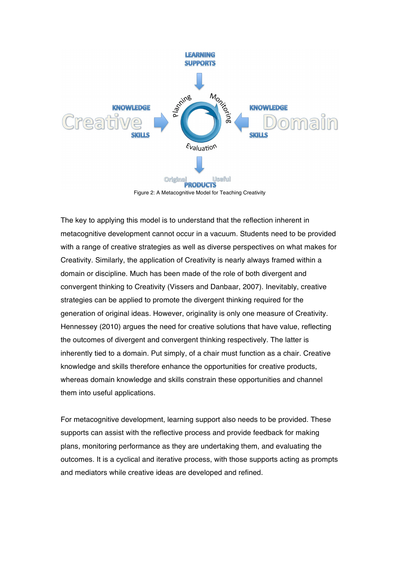

The key to applying this model is to understand that the reflection inherent in metacognitive development cannot occur in a vacuum. Students need to be provided with a range of creative strategies as well as diverse perspectives on what makes for Creativity. Similarly, the application of Creativity is nearly always framed within a domain or discipline. Much has been made of the role of both divergent and convergent thinking to Creativity (Vissers and Danbaar, 2007). Inevitably, creative strategies can be applied to promote the divergent thinking required for the generation of original ideas. However, originality is only one measure of Creativity. Hennessey (2010) argues the need for creative solutions that have value, reflecting the outcomes of divergent and convergent thinking respectively. The latter is inherently tied to a domain. Put simply, of a chair must function as a chair. Creative knowledge and skills therefore enhance the opportunities for creative products, whereas domain knowledge and skills constrain these opportunities and channel them into useful applications.

For metacognitive development, learning support also needs to be provided. These supports can assist with the reflective process and provide feedback for making plans, monitoring performance as they are undertaking them, and evaluating the outcomes. It is a cyclical and iterative process, with those supports acting as prompts and mediators while creative ideas are developed and refined.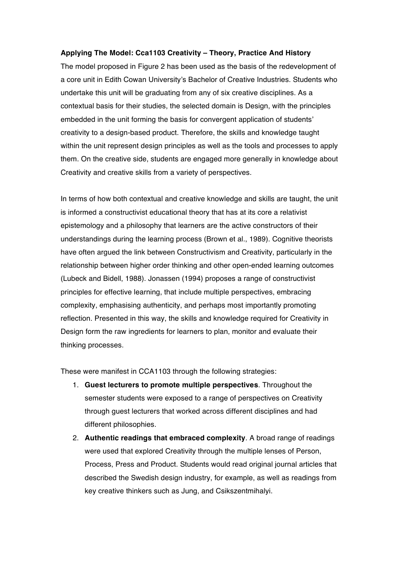## **Applying The Model: Cca1103 Creativity – Theory, Practice And History**

The model proposed in Figure 2 has been used as the basis of the redevelopment of a core unit in Edith Cowan University's Bachelor of Creative Industries. Students who undertake this unit will be graduating from any of six creative disciplines. As a contextual basis for their studies, the selected domain is Design, with the principles embedded in the unit forming the basis for convergent application of students' creativity to a design-based product. Therefore, the skills and knowledge taught within the unit represent design principles as well as the tools and processes to apply them. On the creative side, students are engaged more generally in knowledge about Creativity and creative skills from a variety of perspectives.

In terms of how both contextual and creative knowledge and skills are taught, the unit is informed a constructivist educational theory that has at its core a relativist epistemology and a philosophy that learners are the active constructors of their understandings during the learning process (Brown et al., 1989). Cognitive theorists have often argued the link between Constructivism and Creativity, particularly in the relationship between higher order thinking and other open-ended learning outcomes (Lubeck and Bidell, 1988). Jonassen (1994) proposes a range of constructivist principles for effective learning, that include multiple perspectives, embracing complexity, emphasising authenticity, and perhaps most importantly promoting reflection. Presented in this way, the skills and knowledge required for Creativity in Design form the raw ingredients for learners to plan, monitor and evaluate their thinking processes.

These were manifest in CCA1103 through the following strategies:

- 1. **Guest lecturers to promote multiple perspectives**. Throughout the semester students were exposed to a range of perspectives on Creativity through guest lecturers that worked across different disciplines and had different philosophies.
- 2. **Authentic readings that embraced complexity**. A broad range of readings were used that explored Creativity through the multiple lenses of Person, Process, Press and Product. Students would read original journal articles that described the Swedish design industry, for example, as well as readings from key creative thinkers such as Jung, and Csikszentmihalyi.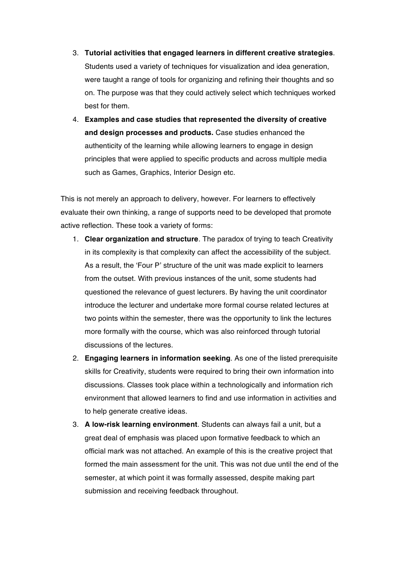- 3. **Tutorial activities that engaged learners in different creative strategies**. Students used a variety of techniques for visualization and idea generation, were taught a range of tools for organizing and refining their thoughts and so on. The purpose was that they could actively select which techniques worked best for them.
- 4. **Examples and case studies that represented the diversity of creative and design processes and products.** Case studies enhanced the authenticity of the learning while allowing learners to engage in design principles that were applied to specific products and across multiple media such as Games, Graphics, Interior Design etc.

This is not merely an approach to delivery, however. For learners to effectively evaluate their own thinking, a range of supports need to be developed that promote active reflection. These took a variety of forms:

- 1. **Clear organization and structure**. The paradox of trying to teach Creativity in its complexity is that complexity can affect the accessibility of the subject. As a result, the 'Four P' structure of the unit was made explicit to learners from the outset. With previous instances of the unit, some students had questioned the relevance of guest lecturers. By having the unit coordinator introduce the lecturer and undertake more formal course related lectures at two points within the semester, there was the opportunity to link the lectures more formally with the course, which was also reinforced through tutorial discussions of the lectures.
- 2. **Engaging learners in information seeking**. As one of the listed prerequisite skills for Creativity, students were required to bring their own information into discussions. Classes took place within a technologically and information rich environment that allowed learners to find and use information in activities and to help generate creative ideas.
- 3. **A low-risk learning environment**. Students can always fail a unit, but a great deal of emphasis was placed upon formative feedback to which an official mark was not attached. An example of this is the creative project that formed the main assessment for the unit. This was not due until the end of the semester, at which point it was formally assessed, despite making part submission and receiving feedback throughout.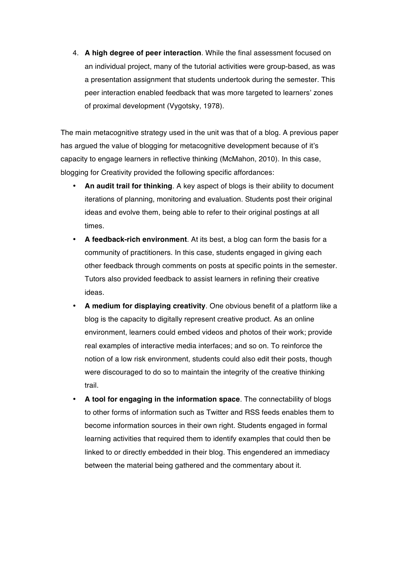4. **A high degree of peer interaction**. While the final assessment focused on an individual project, many of the tutorial activities were group-based, as was a presentation assignment that students undertook during the semester. This peer interaction enabled feedback that was more targeted to learners' zones of proximal development (Vygotsky, 1978).

The main metacognitive strategy used in the unit was that of a blog. A previous paper has argued the value of blogging for metacognitive development because of it's capacity to engage learners in reflective thinking (McMahon, 2010). In this case, blogging for Creativity provided the following specific affordances:

- **An audit trail for thinking**. A key aspect of blogs is their ability to document iterations of planning, monitoring and evaluation. Students post their original ideas and evolve them, being able to refer to their original postings at all times.
- **A feedback-rich environment**. At its best, a blog can form the basis for a community of practitioners. In this case, students engaged in giving each other feedback through comments on posts at specific points in the semester. Tutors also provided feedback to assist learners in refining their creative ideas.
- **A medium for displaying creativity**. One obvious benefit of a platform like a blog is the capacity to digitally represent creative product. As an online environment, learners could embed videos and photos of their work; provide real examples of interactive media interfaces; and so on. To reinforce the notion of a low risk environment, students could also edit their posts, though were discouraged to do so to maintain the integrity of the creative thinking trail.
- **A tool for engaging in the information space**. The connectability of blogs to other forms of information such as Twitter and RSS feeds enables them to become information sources in their own right. Students engaged in formal learning activities that required them to identify examples that could then be linked to or directly embedded in their blog. This engendered an immediacy between the material being gathered and the commentary about it.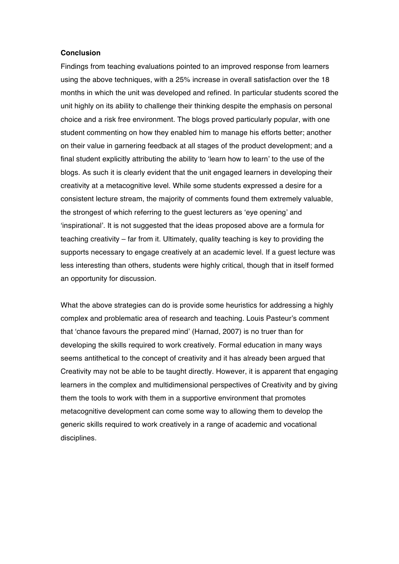## **Conclusion**

Findings from teaching evaluations pointed to an improved response from learners using the above techniques, with a 25% increase in overall satisfaction over the 18 months in which the unit was developed and refined. In particular students scored the unit highly on its ability to challenge their thinking despite the emphasis on personal choice and a risk free environment. The blogs proved particularly popular, with one student commenting on how they enabled him to manage his efforts better; another on their value in garnering feedback at all stages of the product development; and a final student explicitly attributing the ability to 'learn how to learn' to the use of the blogs. As such it is clearly evident that the unit engaged learners in developing their creativity at a metacognitive level. While some students expressed a desire for a consistent lecture stream, the majority of comments found them extremely valuable, the strongest of which referring to the guest lecturers as 'eye opening' and 'inspirational'. It is not suggested that the ideas proposed above are a formula for teaching creativity – far from it. Ultimately, quality teaching is key to providing the supports necessary to engage creatively at an academic level. If a guest lecture was less interesting than others, students were highly critical, though that in itself formed an opportunity for discussion.

What the above strategies can do is provide some heuristics for addressing a highly complex and problematic area of research and teaching. Louis Pasteur's comment that 'chance favours the prepared mind' (Harnad, 2007) is no truer than for developing the skills required to work creatively. Formal education in many ways seems antithetical to the concept of creativity and it has already been argued that Creativity may not be able to be taught directly. However, it is apparent that engaging learners in the complex and multidimensional perspectives of Creativity and by giving them the tools to work with them in a supportive environment that promotes metacognitive development can come some way to allowing them to develop the generic skills required to work creatively in a range of academic and vocational disciplines.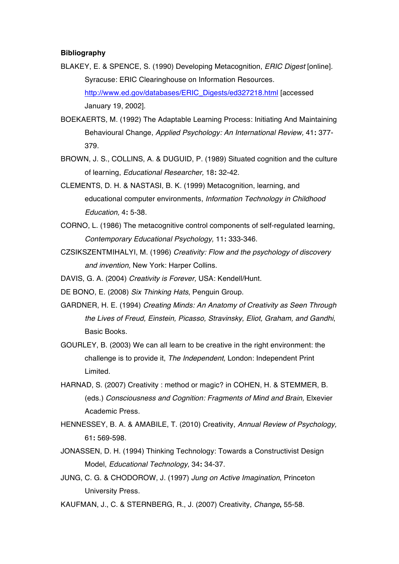### **Bibliography**

- BLAKEY, E. & SPENCE, S. (1990) Developing Metacognition, *ERIC Digest* [online]. Syracuse: ERIC Clearinghouse on Information Resources. http://www.ed.gov/databases/ERIC\_Digests/ed327218.html [accessed January 19, 2002].
- BOEKAERTS, M. (1992) The Adaptable Learning Process: Initiating And Maintaining Behavioural Change, *Applied Psychology: An International Review,* 41**:** 377- 379.
- BROWN, J. S., COLLINS, A. & DUGUID, P. (1989) Situated cognition and the culture of learning, *Educational Researcher,* 18**:** 32-42.
- CLEMENTS, D. H. & NASTASI, B. K. (1999) Metacognition, learning, and educational computer environments, *Information Technology in Childhood Education,* 4**:** 5-38.
- CORNO, L. (1986) The metacognitive control components of self-regulated learning, *Contemporary Educational Psychology,* 11**:** 333-346.
- CZSIKSZENTMIHALYI, M. (1996) *Creativity: Flow and the psychology of discovery and invention,* New York: Harper Collins.
- DAVIS, G. A. (2004) *Creativity is Forever,* USA: Kendell/Hunt.
- DE BONO, E. (2008) *Six Thinking Hats*, Penguin Group.
- GARDNER, H. E. (1994) *Creating Minds: An Anatomy of Creativity as Seen Through the Lives of Freud, Einstein, Picasso, Stravinsky, Eliot, Graham, and Gandhi*, Basic Books.
- GOURLEY, B. (2003) We can all learn to be creative in the right environment: the challenge is to provide it, *The Independent,* London: Independent Print Limited.
- HARNAD, S. (2007) Creativity : method or magic? in COHEN, H. & STEMMER, B. (eds.) *Consciousness and Cognition: Fragments of Mind and Brain,* Elxevier Academic Press.
- HENNESSEY, B. A. & AMABILE, T. (2010) Creativity, *Annual Review of Psychology,* 61**:** 569-598.
- JONASSEN, D. H. (1994) Thinking Technology: Towards a Constructivist Design Model, *Educational Technology,* 34**:** 34-37.
- JUNG, C. G. & CHODOROW, J. (1997) *Jung on Active Imagination*, Princeton University Press.
- KAUFMAN, J., C. & STERNBERG, R., J. (2007) Creativity, *Change***,** 55-58.